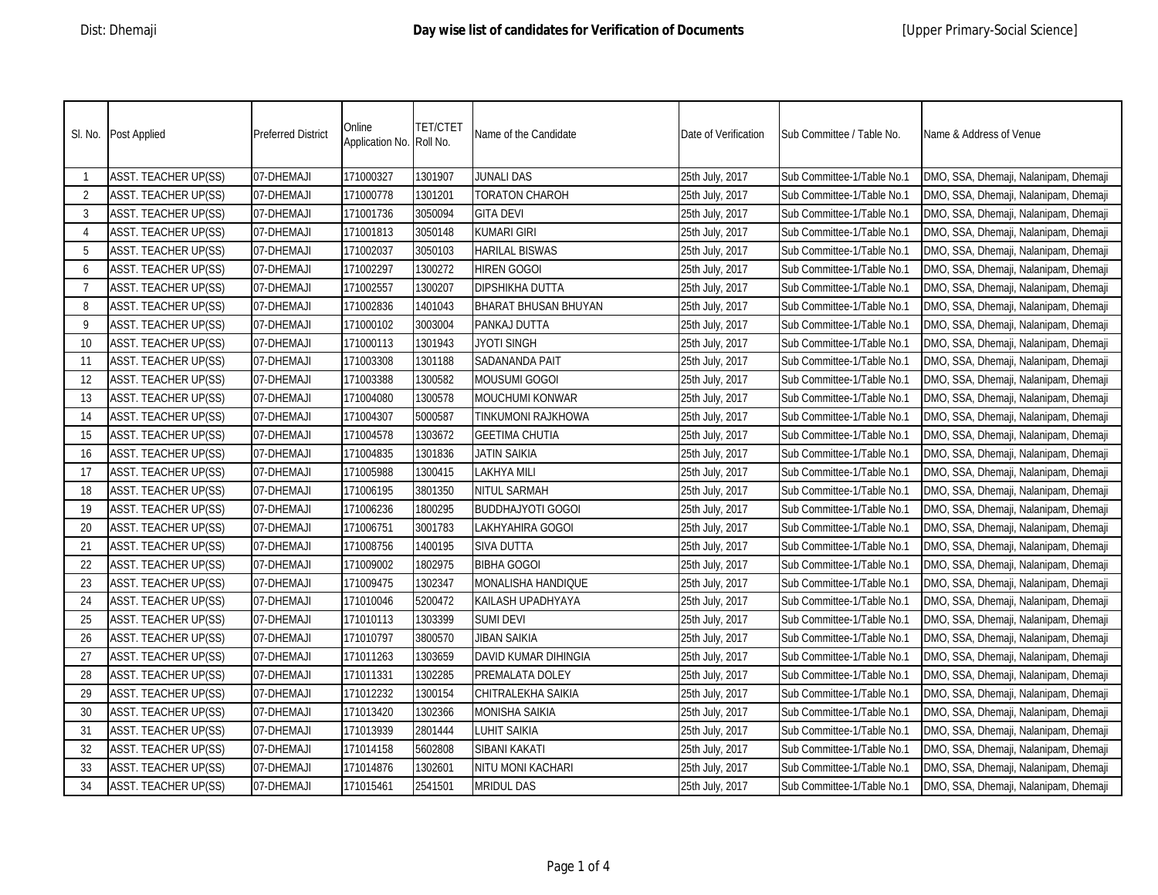|                | SI. No. Post Applied        | <b>Preferred District</b> | Online<br>Application No. Roll No. | <b>TET/CTET</b> | Name of the Candidate    | Date of Verification | Sub Committee / Table No.  | Name & Address of Venue               |
|----------------|-----------------------------|---------------------------|------------------------------------|-----------------|--------------------------|----------------------|----------------------------|---------------------------------------|
| -1             | <b>ASST. TEACHER UP(SS)</b> | 07-DHEMAJI                | 171000327                          | 1301907         | <b>JUNALI DAS</b>        | 25th July, 2017      | Sub Committee-1/Table No.1 | DMO, SSA, Dhemaji, Nalanipam, Dhemaji |
| $\overline{2}$ | <b>ASST. TEACHER UP(SS)</b> | 07-DHEMAJI                | 171000778                          | 1301201         | <b>TORATON CHAROH</b>    | 25th July, 2017      | Sub Committee-1/Table No.1 | DMO, SSA, Dhemaji, Nalanipam, Dhemaji |
| 3              | <b>ASST. TEACHER UP(SS)</b> | 07-DHEMAJI                | 171001736                          | 3050094         | <b>GITA DEVI</b>         | 25th July, 2017      | Sub Committee-1/Table No.1 | DMO, SSA, Dhemaji, Nalanipam, Dhemaji |
| $\overline{4}$ | <b>ASST. TEACHER UP(SS)</b> | 07-DHEMAJI                | 171001813                          | 3050148         | <b>KUMARI GIRI</b>       | 25th July, 2017      | Sub Committee-1/Table No.1 | DMO, SSA, Dhemaji, Nalanipam, Dhemaji |
| 5              | <b>ASST. TEACHER UP(SS)</b> | 07-DHEMAJI                | 171002037                          | 3050103         | <b>HARILAL BISWAS</b>    | 25th July, 2017      | Sub Committee-1/Table No.1 | DMO, SSA, Dhemaji, Nalanipam, Dhemaji |
| 6              | <b>ASST. TEACHER UP(SS)</b> | 07-DHEMAJI                | 171002297                          | 1300272         | <b>HIREN GOGOI</b>       | 25th July, 2017      | Sub Committee-1/Table No.1 | DMO, SSA, Dhemaji, Nalanipam, Dhemaji |
| -7             | <b>ASST. TEACHER UP(SS)</b> | 07-DHEMAJI                | 171002557                          | 1300207         | DIPSHIKHA DUTTA          | 25th July, 2017      | Sub Committee-1/Table No.1 | DMO, SSA, Dhemaji, Nalanipam, Dhemaji |
| 8              | <b>ASST. TEACHER UP(SS)</b> | 07-DHEMAJI                | 171002836                          | 1401043         | BHARAT BHUSAN BHUYAN     | 25th July, 2017      | Sub Committee-1/Table No.1 | DMO, SSA, Dhemaji, Nalanipam, Dhemaji |
| 9              | <b>ASST. TEACHER UP(SS)</b> | 07-DHEMAJI                | 171000102                          | 3003004         | PANKAJ DUTTA             | 25th July, 2017      | Sub Committee-1/Table No.1 | DMO, SSA, Dhemaji, Nalanipam, Dhemaji |
| 10             | <b>ASST. TEACHER UP(SS)</b> | 07-DHEMAJI                | 171000113                          | 1301943         | JYOTI SINGH              | 25th July, 2017      | Sub Committee-1/Table No.1 | DMO, SSA, Dhemaji, Nalanipam, Dhemaji |
| 11             | <b>ASST. TEACHER UP(SS)</b> | 07-DHEMAJI                | 171003308                          | 1301188         | SADANANDA PAIT           | 25th July, 2017      | Sub Committee-1/Table No.1 | DMO, SSA, Dhemaji, Nalanipam, Dhemaji |
| 12             | <b>ASST. TEACHER UP(SS)</b> | 07-DHEMAJI                | 171003388                          | 1300582         | Mousumi Gogoi            | 25th July, 2017      | Sub Committee-1/Table No.1 | DMO, SSA, Dhemaji, Nalanipam, Dhemaji |
| 13             | <b>ASST. TEACHER UP(SS)</b> | 07-DHEMAJI                | 171004080                          | 1300578         | MOUCHUMI KONWAR          | 25th July, 2017      | Sub Committee-1/Table No.1 | DMO, SSA, Dhemaji, Nalanipam, Dhemaji |
| 14             | <b>ASST. TEACHER UP(SS)</b> | 07-DHEMAJI                | 171004307                          | 5000587         | TINKUMONI RAJKHOWA       | 25th July, 2017      | Sub Committee-1/Table No.1 | DMO, SSA, Dhemaji, Nalanipam, Dhemaji |
| 15             | <b>ASST. TEACHER UP(SS)</b> | 07-DHEMAJI                | 171004578                          | 1303672         | <b>GEETIMA CHUTIA</b>    | 25th July, 2017      | Sub Committee-1/Table No.1 | DMO, SSA, Dhemaji, Nalanipam, Dhemaji |
| 16             | <b>ASST. TEACHER UP(SS)</b> | 07-DHEMAJI                | 171004835                          | 1301836         | <b>JATIN SAIKIA</b>      | 25th July, 2017      | Sub Committee-1/Table No.1 | DMO, SSA, Dhemaji, Nalanipam, Dhemaji |
| 17             | <b>ASST. TEACHER UP(SS)</b> | 07-DHEMAJI                | 171005988                          | 1300415         | <b>LAKHYA MILI</b>       | 25th July, 2017      | Sub Committee-1/Table No.1 | DMO, SSA, Dhemaji, Nalanipam, Dhemaji |
| 18             | <b>ASST. TEACHER UP(SS)</b> | 07-DHEMAJI                | 171006195                          | 3801350         | NITUL SARMAH             | 25th July, 2017      | Sub Committee-1/Table No.1 | DMO, SSA, Dhemaji, Nalanipam, Dhemaji |
| 19             | <b>ASST. TEACHER UP(SS)</b> | 07-DHEMAJI                | 171006236                          | 1800295         | <b>BUDDHAJYOTI GOGOI</b> | 25th July, 2017      | Sub Committee-1/Table No.1 | DMO, SSA, Dhemaji, Nalanipam, Dhemaji |
| 20             | <b>ASST. TEACHER UP(SS)</b> | 07-DHEMAJI                | 171006751                          | 3001783         | LAKHYAHIRA GOGOI         | 25th July, 2017      | Sub Committee-1/Table No.1 | DMO, SSA, Dhemaji, Nalanipam, Dhemaji |
| 21             | <b>ASST. TEACHER UP(SS)</b> | 07-DHEMAJI                | 171008756                          | 1400195         | <b>SIVA DUTTA</b>        | 25th July, 2017      | Sub Committee-1/Table No.1 | DMO, SSA, Dhemaji, Nalanipam, Dhemaji |
| 22             | <b>ASST. TEACHER UP(SS)</b> | 07-DHEMAJI                | 171009002                          | 1802975         | <b>BIBHA GOGOI</b>       | 25th July, 2017      | Sub Committee-1/Table No.1 | DMO, SSA, Dhemaji, Nalanipam, Dhemaji |
| 23             | <b>ASST. TEACHER UP(SS)</b> | 07-DHEMAJI                | 171009475                          | 1302347         | MONALISHA HANDIQUE       | 25th July, 2017      | Sub Committee-1/Table No.1 | DMO, SSA, Dhemaji, Nalanipam, Dhemaji |
| 24             | <b>ASST. TEACHER UP(SS)</b> | 07-DHEMAJI                | 171010046                          | 5200472         | KAILASH UPADHYAYA        | 25th July, 2017      | Sub Committee-1/Table No.1 | DMO, SSA, Dhemaji, Nalanipam, Dhemaji |
| 25             | <b>ASST. TEACHER UP(SS)</b> | 07-DHEMAJI                | 171010113                          | 1303399         | <b>SUMI DEVI</b>         | 25th July, 2017      | Sub Committee-1/Table No.1 | DMO, SSA, Dhemaji, Nalanipam, Dhemaji |
| 26             | <b>ASST. TEACHER UP(SS)</b> | 07-DHEMAJI                | 171010797                          | 3800570         | JIBAN SAIKIA             | 25th July, 2017      | Sub Committee-1/Table No.1 | DMO, SSA, Dhemaji, Nalanipam, Dhemaji |
| 27             | <b>ASST. TEACHER UP(SS)</b> | 07-DHEMAJI                | 171011263                          | 1303659         | DAVID KUMAR DIHINGIA     | 25th July, 2017      | Sub Committee-1/Table No.1 | DMO, SSA, Dhemaji, Nalanipam, Dhemaji |
| 28             | <b>ASST. TEACHER UP(SS)</b> | 07-DHEMAJI                | 171011331                          | 1302285         | PREMALATA DOLEY          | 25th July, 2017      | Sub Committee-1/Table No.1 | DMO, SSA, Dhemaji, Nalanipam, Dhemaji |
| 29             | <b>ASST. TEACHER UP(SS)</b> | 07-DHEMAJI                | 171012232                          | 1300154         | CHITRALEKHA SAIKIA       | 25th July, 2017      | Sub Committee-1/Table No.1 | DMO, SSA, Dhemaji, Nalanipam, Dhemaji |
| 30             | <b>ASST. TEACHER UP(SS)</b> | 07-DHEMAJI                | 171013420                          | 1302366         | MONISHA SAIKIA           | 25th July, 2017      | Sub Committee-1/Table No.1 | DMO, SSA, Dhemaji, Nalanipam, Dhemaji |
| 31             | <b>ASST. TEACHER UP(SS)</b> | 07-DHEMAJI                | 171013939                          | 2801444         | LUHIT SAIKIA             | 25th July, 2017      | Sub Committee-1/Table No.1 | DMO, SSA, Dhemaji, Nalanipam, Dhemaji |
| 32             | <b>ASST. TEACHER UP(SS)</b> | 07-DHEMAJI                | 171014158                          | 5602808         | SIBANI KAKATI            | 25th July, 2017      | Sub Committee-1/Table No.1 | DMO, SSA, Dhemaji, Nalanipam, Dhemaji |
| 33             | <b>ASST. TEACHER UP(SS)</b> | 07-DHEMAJI                | 171014876                          | 1302601         | NITU MONI KACHARI        | 25th July, 2017      | Sub Committee-1/Table No.1 | DMO, SSA, Dhemaji, Nalanipam, Dhemaji |
| 34             | <b>ASST. TEACHER UP(SS)</b> | 07-DHEMAJI                | 171015461                          | 2541501         | <b>MRIDUL DAS</b>        | 25th July, 2017      | Sub Committee-1/Table No.1 | DMO, SSA, Dhemaji, Nalanipam, Dhemaji |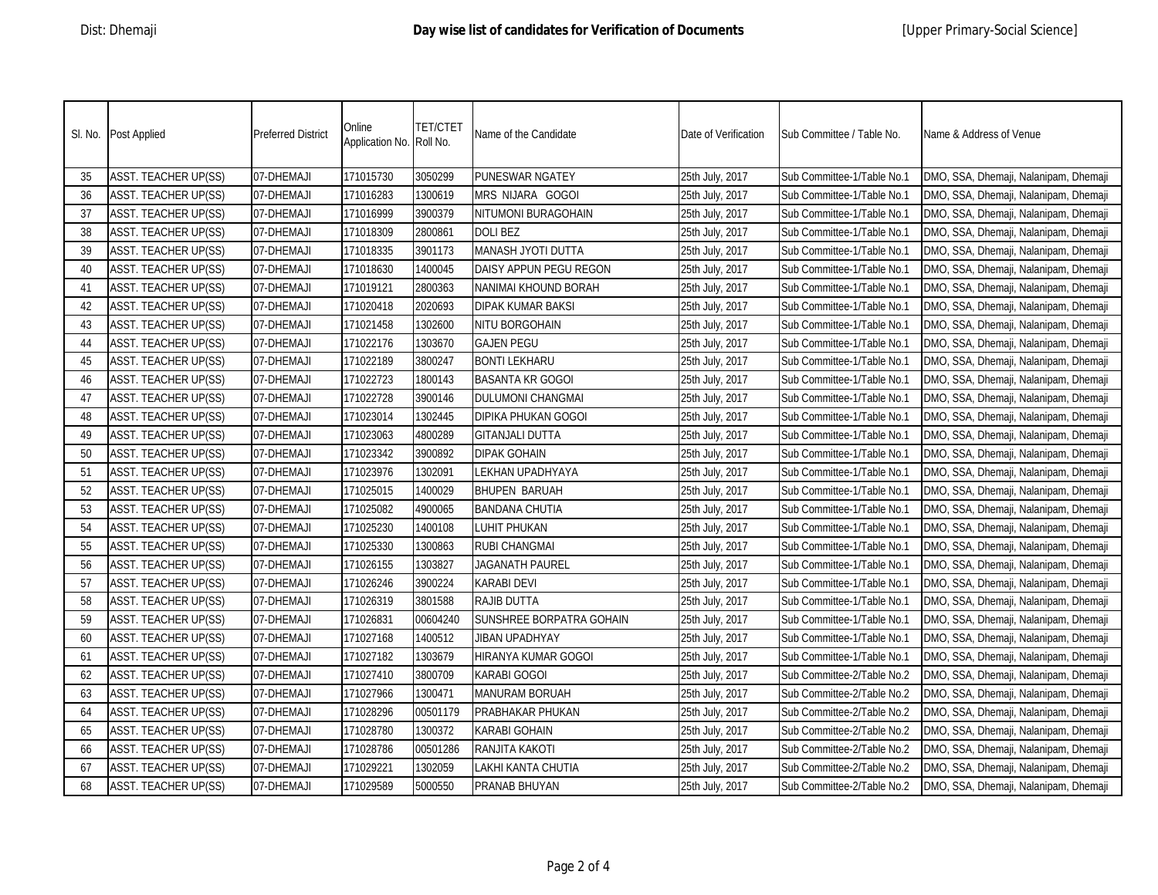|    | SI. No. Post Applied        | <b>Preferred District</b> | Online<br>Application No. Roll No. | <b>TET/CTET</b> | Name of the Candidate    | Date of Verification | Sub Committee / Table No.  | Name & Address of Venue               |
|----|-----------------------------|---------------------------|------------------------------------|-----------------|--------------------------|----------------------|----------------------------|---------------------------------------|
| 35 | <b>ASST. TEACHER UP(SS)</b> | 07-DHEMAJI                | 171015730                          | 3050299         | PUNESWAR NGATEY          | 25th July, 2017      | Sub Committee-1/Table No.1 | DMO, SSA, Dhemaji, Nalanipam, Dhemaji |
| 36 | <b>ASST. TEACHER UP(SS)</b> | 07-DHEMAJI                | 171016283                          | 1300619         | MRS NIJARA GOGOI         | 25th July, 2017      | Sub Committee-1/Table No.1 | DMO, SSA, Dhemaji, Nalanipam, Dhemaji |
| 37 | <b>ASST. TEACHER UP(SS)</b> | 07-DHEMAJI                | 171016999                          | 3900379         | NITUMONI BURAGOHAIN      | 25th July, 2017      | Sub Committee-1/Table No.1 | DMO, SSA, Dhemaji, Nalanipam, Dhemaji |
| 38 | <b>ASST. TEACHER UP(SS)</b> | 07-DHEMAJI                | 171018309                          | 2800861         | <b>DOLIBEZ</b>           | 25th July, 2017      | Sub Committee-1/Table No.1 | DMO, SSA, Dhemaji, Nalanipam, Dhemaji |
| 39 | ASST. TEACHER UP(SS)        | 07-DHEMAJI                | 171018335                          | 3901173         | MANASH JYOTI DUTTA       | 25th July, 2017      | Sub Committee-1/Table No.1 | DMO, SSA, Dhemaji, Nalanipam, Dhemaji |
| 40 | <b>ASST. TEACHER UP(SS)</b> | 07-DHEMAJI                | 171018630                          | 1400045         | DAISY APPUN PEGU REGON   | 25th July, 2017      | Sub Committee-1/Table No.1 | DMO, SSA, Dhemaji, Nalanipam, Dhemaji |
| 41 | ASST. TEACHER UP(SS)        | 07-DHEMAJI                | 171019121                          | 2800363         | NANIMAI KHOUND BORAH     | 25th July, 2017      | Sub Committee-1/Table No.1 | DMO, SSA, Dhemaji, Nalanipam, Dhemaji |
| 42 | ASST. TEACHER UP(SS)        | 07-DHEMAJI                | 171020418                          | 2020693         | <b>DIPAK KUMAR BAKSI</b> | 25th July, 2017      | Sub Committee-1/Table No.1 | DMO, SSA, Dhemaji, Nalanipam, Dhemaji |
| 43 | ASST. TEACHER UP(SS)        | 07-DHEMAJI                | 171021458                          | 1302600         | NITU BORGOHAIN           | 25th July, 2017      | Sub Committee-1/Table No.1 | DMO, SSA, Dhemaji, Nalanipam, Dhemaji |
| 44 | ASST. TEACHER UP(SS)        | 07-DHEMAJI                | 171022176                          | 1303670         | <b>GAJEN PEGU</b>        | 25th July, 2017      | Sub Committee-1/Table No.1 | DMO, SSA, Dhemaji, Nalanipam, Dhemaji |
| 45 | <b>ASST. TEACHER UP(SS)</b> | 07-DHEMAJI                | 171022189                          | 3800247         | <b>BONTI LEKHARU</b>     | 25th July, 2017      | Sub Committee-1/Table No.1 | DMO, SSA, Dhemaji, Nalanipam, Dhemaji |
| 46 | <b>ASST. TEACHER UP(SS)</b> | 07-DHEMAJI                | 171022723                          | 1800143         | <b>BASANTA KR GOGOI</b>  | 25th July, 2017      | Sub Committee-1/Table No.1 | DMO, SSA, Dhemaji, Nalanipam, Dhemaji |
| 47 | <b>ASST. TEACHER UP(SS)</b> | 07-DHEMAJI                | 171022728                          | 3900146         | <b>DULUMONI CHANGMAI</b> | 25th July, 2017      | Sub Committee-1/Table No.1 | DMO, SSA, Dhemaji, Nalanipam, Dhemaji |
| 48 | ASST. TEACHER UP(SS)        | 07-DHEMAJI                | 171023014                          | 1302445         | DIPIKA PHUKAN GOGOI      | 25th July, 2017      | Sub Committee-1/Table No.1 | DMO, SSA, Dhemaji, Nalanipam, Dhemaji |
| 49 | ASST. TEACHER UP(SS)        | 07-DHEMAJI                | 171023063                          | 4800289         | <b>GITANJALI DUTTA</b>   | 25th July, 2017      | Sub Committee-1/Table No.1 | DMO, SSA, Dhemaji, Nalanipam, Dhemaji |
| 50 | <b>ASST. TEACHER UP(SS)</b> | 07-DHEMAJI                | 171023342                          | 3900892         | <b>DIPAK GOHAIN</b>      | 25th July, 2017      | Sub Committee-1/Table No.1 | DMO, SSA, Dhemaji, Nalanipam, Dhemaji |
| 51 | <b>ASST. TEACHER UP(SS)</b> | 07-DHEMAJI                | 171023976                          | 1302091         | LEKHAN UPADHYAYA         | 25th July, 2017      | Sub Committee-1/Table No.1 | DMO, SSA, Dhemaji, Nalanipam, Dhemaji |
| 52 | ASST. TEACHER UP(SS)        | 07-DHEMAJI                | 171025015                          | 1400029         | <b>BHUPEN BARUAH</b>     | 25th July, 2017      | Sub Committee-1/Table No.1 | DMO, SSA, Dhemaji, Nalanipam, Dhemaji |
| 53 | <b>ASST. TEACHER UP(SS)</b> | 07-DHEMAJI                | 171025082                          | 4900065         | <b>BANDANA CHUTIA</b>    | 25th July, 2017      | Sub Committee-1/Table No.1 | DMO, SSA, Dhemaji, Nalanipam, Dhemaji |
| 54 | <b>ASST. TEACHER UP(SS)</b> | 07-DHEMAJI                | 171025230                          | 1400108         | LUHIT PHUKAN             | 25th July, 2017      | Sub Committee-1/Table No.1 | DMO, SSA, Dhemaji, Nalanipam, Dhemaji |
| 55 | ASST. TEACHER UP(SS)        | 07-DHEMAJI                | 171025330                          | 1300863         | <b>RUBI CHANGMAI</b>     | 25th July, 2017      | Sub Committee-1/Table No.1 | DMO, SSA, Dhemaji, Nalanipam, Dhemaji |
| 56 | <b>ASST. TEACHER UP(SS)</b> | 07-DHEMAJI                | 171026155                          | 1303827         | <b>JAGANATH PAUREL</b>   | 25th July, 2017      | Sub Committee-1/Table No.1 | DMO, SSA, Dhemaji, Nalanipam, Dhemaji |
| 57 | <b>ASST. TEACHER UP(SS)</b> | 07-DHEMAJI                | 171026246                          | 3900224         | <b>KARABI DEVI</b>       | 25th July, 2017      | Sub Committee-1/Table No.1 | DMO, SSA, Dhemaji, Nalanipam, Dhemaji |
| 58 | <b>ASST. TEACHER UP(SS)</b> | 07-DHEMAJI                | 171026319                          | 3801588         | <b>RAJIB DUTTA</b>       | 25th July, 2017      | Sub Committee-1/Table No.1 | DMO, SSA, Dhemaji, Nalanipam, Dhemaji |
| 59 | ASST. TEACHER UP(SS)        | 07-DHEMAJI                | 171026831                          | 00604240        | SUNSHREE BORPATRA GOHAIN | 25th July, 2017      | Sub Committee-1/Table No.1 | DMO, SSA, Dhemaji, Nalanipam, Dhemaji |
| 60 | <b>ASST. TEACHER UP(SS)</b> | 07-DHEMAJI                | 171027168                          | 1400512         | JIBAN UPADHYAY           | 25th July, 2017      | Sub Committee-1/Table No.1 | DMO, SSA, Dhemaji, Nalanipam, Dhemaji |
| 61 | <b>ASST. TEACHER UP(SS)</b> | 07-DHEMAJI                | 171027182                          | 1303679         | HIRANYA KUMAR GOGOI      | 25th July, 2017      | Sub Committee-1/Table No.1 | DMO, SSA, Dhemaji, Nalanipam, Dhemaji |
| 62 | <b>ASST. TEACHER UP(SS)</b> | 07-DHEMAJI                | 171027410                          | 3800709         | <b>KARABI GOGOI</b>      | 25th July, 2017      | Sub Committee-2/Table No.2 | DMO, SSA, Dhemaji, Nalanipam, Dhemaji |
| 63 | <b>ASST. TEACHER UP(SS)</b> | 07-DHEMAJI                | 171027966                          | 1300471         | <b>MANURAM BORUAH</b>    | 25th July, 2017      | Sub Committee-2/Table No.2 | DMO, SSA, Dhemaji, Nalanipam, Dhemaji |
| 64 | <b>ASST. TEACHER UP(SS)</b> | 07-DHEMAJI                | 171028296                          | 00501179        | PRABHAKAR PHUKAN         | 25th July, 2017      | Sub Committee-2/Table No.2 | DMO, SSA, Dhemaji, Nalanipam, Dhemaji |
| 65 | <b>ASST. TEACHER UP(SS)</b> | 07-DHEMAJI                | 171028780                          | 1300372         | <b>KARABI GOHAIN</b>     | 25th July, 2017      | Sub Committee-2/Table No.2 | DMO, SSA, Dhemaji, Nalanipam, Dhemaji |
| 66 | <b>ASST. TEACHER UP(SS)</b> | 07-DHEMAJI                | 171028786                          | 00501286        | RANJITA KAKOTI           | 25th July, 2017      | Sub Committee-2/Table No.2 | DMO, SSA, Dhemaji, Nalanipam, Dhemaji |
| 67 | <b>ASST. TEACHER UP(SS)</b> | 07-DHEMAJI                | 171029221                          | 1302059         | LAKHI KANTA CHUTIA       | 25th July, 2017      | Sub Committee-2/Table No.2 | DMO, SSA, Dhemaji, Nalanipam, Dhemaji |
| 68 | <b>ASST. TEACHER UP(SS)</b> | 07-DHEMAJI                | 171029589                          | 5000550         | PRANAB BHUYAN            | 25th July, 2017      | Sub Committee-2/Table No.2 | DMO, SSA, Dhemaji, Nalanipam, Dhemaji |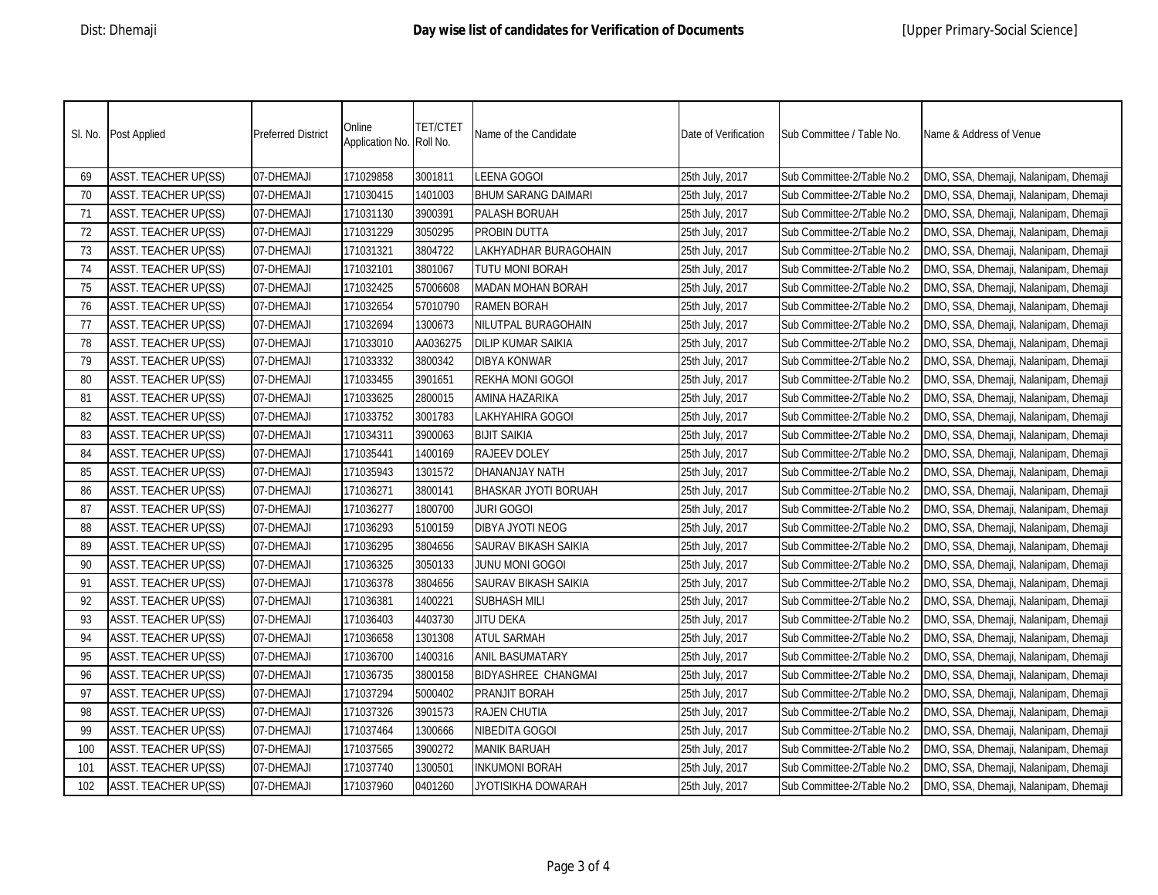|     | SI. No. Post Applied        | <b>Preferred District</b> | Online<br>Application No. Roll No. | <b>TET/CTET</b> | Name of the Candidate      | Date of Verification | Sub Committee / Table No.  | Name & Address of Venue               |
|-----|-----------------------------|---------------------------|------------------------------------|-----------------|----------------------------|----------------------|----------------------------|---------------------------------------|
| 69  | <b>ASST. TEACHER UP(SS)</b> | 07-DHEMAJI                | 171029858                          | 3001811         | LEENA GOGOI                | 25th July, 2017      | Sub Committee-2/Table No.2 | DMO, SSA, Dhemaji, Nalanipam, Dhemaji |
| 70  | <b>ASST. TEACHER UP(SS)</b> | 07-DHEMAJI                | 171030415                          | 1401003         | <b>BHUM SARANG DAIMARI</b> | 25th July, 2017      | Sub Committee-2/Table No.2 | DMO, SSA, Dhemaji, Nalanipam, Dhemaji |
| 71  | <b>ASST. TEACHER UP(SS)</b> | 07-DHEMAJI                | 171031130                          | 3900391         | PALASH BORUAH              | 25th July, 2017      | Sub Committee-2/Table No.2 | DMO, SSA, Dhemaji, Nalanipam, Dhemaji |
| 72  | <b>ASST. TEACHER UP(SS)</b> | 07-DHEMAJI                | 171031229                          | 3050295         | PROBIN DUTTA               | 25th July, 2017      | Sub Committee-2/Table No.2 | DMO, SSA, Dhemaji, Nalanipam, Dhemaji |
| 73  | ASST. TEACHER UP(SS)        | 07-DHEMAJI                | 171031321                          | 3804722         | LAKHYADHAR BURAGOHAIN      | 25th July, 2017      | Sub Committee-2/Table No.2 | DMO, SSA, Dhemaji, Nalanipam, Dhemaji |
| 74  | ASST. TEACHER UP(SS)        | 07-DHEMAJI                | 171032101                          | 3801067         | TUTU MONI BORAH            | 25th July, 2017      | Sub Committee-2/Table No.2 | DMO, SSA, Dhemaji, Nalanipam, Dhemaji |
| 75  | <b>ASST. TEACHER UP(SS)</b> | 07-DHEMAJI                | 171032425                          | 57006608        | <b>MADAN MOHAN BORAH</b>   | 25th July, 2017      | Sub Committee-2/Table No.2 | DMO, SSA, Dhemaji, Nalanipam, Dhemaji |
| 76  | <b>ASST. TEACHER UP(SS)</b> | 07-DHEMAJI                | 171032654                          | 57010790        | <b>RAMEN BORAH</b>         | 25th July, 2017      | Sub Committee-2/Table No.2 | DMO, SSA, Dhemaji, Nalanipam, Dhemaji |
| 77  | ASST. TEACHER UP(SS)        | 07-DHEMAJI                | 171032694                          | 1300673         | NILUTPAL BURAGOHAIN        | 25th July, 2017      | Sub Committee-2/Table No.2 | DMO, SSA, Dhemaji, Nalanipam, Dhemaji |
| 78  | ASST. TEACHER UP(SS)        | 07-DHEMAJI                | 171033010                          | AA036275        | DILIP KUMAR SAIKIA         | 25th July, 2017      | Sub Committee-2/Table No.2 | DMO, SSA, Dhemaji, Nalanipam, Dhemaji |
| 79  | ASST. TEACHER UP(SS)        | 07-DHEMAJI                | 171033332                          | 3800342         | DIBYA KONWAR               | 25th July, 2017      | Sub Committee-2/Table No.2 | DMO, SSA, Dhemaji, Nalanipam, Dhemaji |
| 80  | ASST. TEACHER UP(SS)        | 07-DHEMAJI                | 171033455                          | 3901651         | REKHA MONI GOGOI           | 25th July, 2017      | Sub Committee-2/Table No.2 | DMO, SSA, Dhemaji, Nalanipam, Dhemaji |
| 81  | <b>ASST. TEACHER UP(SS)</b> | 07-DHEMAJI                | 171033625                          | 2800015         | AMINA HAZARIKA             | 25th July, 2017      | Sub Committee-2/Table No.2 | DMO, SSA, Dhemaji, Nalanipam, Dhemaji |
| 82  | ASST. TEACHER UP(SS)        | 07-DHEMAJI                | 171033752                          | 3001783         | LAKHYAHIRA GOGOI           | 25th July, 2017      | Sub Committee-2/Table No.2 | DMO, SSA, Dhemaji, Nalanipam, Dhemaji |
| 83  | <b>ASST. TEACHER UP(SS)</b> | 07-DHEMAJI                | 171034311                          | 3900063         | <b>BIJIT SAIKIA</b>        | 25th July, 2017      | Sub Committee-2/Table No.2 | DMO, SSA, Dhemaji, Nalanipam, Dhemaji |
| 84  | ASST. TEACHER UP(SS)        | 07-DHEMAJI                | 171035441                          | 1400169         | <b>RAJEEV DOLEY</b>        | 25th July, 2017      | Sub Committee-2/Table No.2 | DMO, SSA, Dhemaji, Nalanipam, Dhemaji |
| 85  | <b>ASST. TEACHER UP(SS)</b> | 07-DHEMAJI                | 171035943                          | 1301572         | DHANANJAY NATH             | 25th July, 2017      | Sub Committee-2/Table No.2 | DMO, SSA, Dhemaji, Nalanipam, Dhemaji |
| 86  | <b>ASST. TEACHER UP(SS)</b> | 07-DHEMAJI                | 171036271                          | 3800141         | BHASKAR JYOTI BORUAH       | 25th July, 2017      | Sub Committee-2/Table No.2 | DMO, SSA, Dhemaji, Nalanipam, Dhemaji |
| 87  | <b>ASST. TEACHER UP(SS)</b> | 07-DHEMAJI                | 171036277                          | 1800700         | <b>JURI GOGOI</b>          | 25th July, 2017      | Sub Committee-2/Table No.2 | DMO, SSA, Dhemaji, Nalanipam, Dhemaji |
| 88  | <b>ASST. TEACHER UP(SS)</b> | 07-DHEMAJI                | 171036293                          | 5100159         | DIBYA JYOTI NEOG           | 25th July, 2017      | Sub Committee-2/Table No.2 | DMO, SSA, Dhemaji, Nalanipam, Dhemaji |
| 89  | <b>ASST. TEACHER UP(SS)</b> | 07-DHEMAJI                | 171036295                          | 3804656         | SAURAV BIKASH SAIKIA       | 25th July, 2017      | Sub Committee-2/Table No.2 | DMO, SSA, Dhemaji, Nalanipam, Dhemaji |
| 90  | <b>ASST. TEACHER UP(SS)</b> | 07-DHEMAJI                | 171036325                          | 3050133         | JUNU MONI GOGOI            | 25th July, 2017      | Sub Committee-2/Table No.2 | DMO, SSA, Dhemaji, Nalanipam, Dhemaji |
| 91  | <b>ASST. TEACHER UP(SS)</b> | 07-DHEMAJI                | 171036378                          | 3804656         | SAURAV BIKASH SAIKIA       | 25th July, 2017      | Sub Committee-2/Table No.2 | DMO, SSA, Dhemaji, Nalanipam, Dhemaji |
| 92  | <b>ASST. TEACHER UP(SS)</b> | 07-DHEMAJI                | 171036381                          | 1400221         | <b>SUBHASH MILI</b>        | 25th July, 2017      | Sub Committee-2/Table No.2 | DMO, SSA, Dhemaji, Nalanipam, Dhemaji |
| 93  | <b>ASST. TEACHER UP(SS)</b> | 07-DHEMAJI                | 171036403                          | 4403730         | <b>JITU DEKA</b>           | 25th July, 2017      | Sub Committee-2/Table No.2 | DMO, SSA, Dhemaji, Nalanipam, Dhemaji |
| 94  | <b>ASST. TEACHER UP(SS)</b> | 07-DHEMAJI                | 171036658                          | 1301308         | <b>ATUL SARMAH</b>         | 25th July, 2017      | Sub Committee-2/Table No.2 | DMO, SSA, Dhemaji, Nalanipam, Dhemaji |
| 95  | <b>ASST. TEACHER UP(SS)</b> | 07-DHEMAJI                | 171036700                          | 1400316         | <b>ANIL BASUMATARY</b>     | 25th July, 2017      | Sub Committee-2/Table No.2 | DMO, SSA, Dhemaji, Nalanipam, Dhemaji |
| 96  | <b>ASST. TEACHER UP(SS)</b> | 07-DHEMAJI                | 171036735                          | 3800158         | <b>BIDYASHREE CHANGMAI</b> | 25th July, 2017      | Sub Committee-2/Table No.2 | DMO, SSA, Dhemaji, Nalanipam, Dhemaji |
| 97  | <b>ASST. TEACHER UP(SS)</b> | 07-DHEMAJI                | 171037294                          | 5000402         | PRANJIT BORAH              | 25th July, 2017      | Sub Committee-2/Table No.2 | DMO, SSA, Dhemaji, Nalanipam, Dhemaji |
| 98  | <b>ASST. TEACHER UP(SS)</b> | 07-DHEMAJI                | 171037326                          | 3901573         | <b>RAJEN CHUTIA</b>        | 25th July, 2017      | Sub Committee-2/Table No.2 | DMO, SSA, Dhemaji, Nalanipam, Dhemaji |
| 99  | <b>ASST. TEACHER UP(SS)</b> | 07-DHEMAJI                | 171037464                          | 1300666         | NIBEDITA GOGOI             | 25th July, 2017      | Sub Committee-2/Table No.2 | DMO, SSA, Dhemaji, Nalanipam, Dhemaji |
| 100 | <b>ASST. TEACHER UP(SS)</b> | 07-DHEMAJI                | 171037565                          | 3900272         | <b>MANIK BARUAH</b>        | 25th July, 2017      | Sub Committee-2/Table No.2 | DMO, SSA, Dhemaji, Nalanipam, Dhemaji |
| 101 | <b>ASST. TEACHER UP(SS)</b> | 07-DHEMAJI                | 171037740                          | 1300501         | <b>INKUMONI BORAH</b>      | 25th July, 2017      | Sub Committee-2/Table No.2 | DMO, SSA, Dhemaji, Nalanipam, Dhemaji |
| 102 | <b>ASST. TEACHER UP(SS)</b> | 07-DHEMAJI                | 171037960                          | 0401260         | JYOTISIKHA DOWARAH         | 25th July, 2017      | Sub Committee-2/Table No.2 | DMO, SSA, Dhemaji, Nalanipam, Dhemaji |